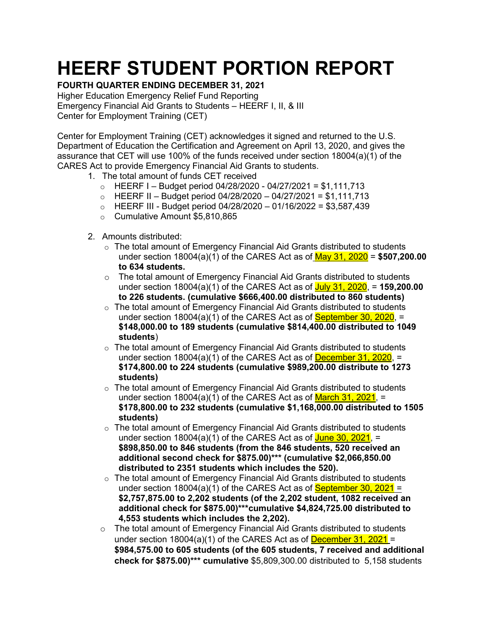## **HEERF STUDENT PORTION REPORT**

## **FOURTH QUARTER ENDING DECEMBER 31, 2021**

Higher Education Emergency Relief Fund Reporting Emergency Financial Aid Grants to Students – HEERF I, II, & III Center for Employment Training (CET)

Center for Employment Training (CET) acknowledges it signed and returned to the U.S. Department of Education the Certification and Agreement on April 13, 2020, and gives the assurance that CET will use 100% of the funds received under section 18004(a)(1) of the CARES Act to provide Emergency Financial Aid Grants to students.

- 1. The total amount of funds CET received
	- $\circ$  HEERF I Budget period 04/28/2020 04/27/2021 = \$1,111,713
	- $\circ$  HEERF II Budget period 04/28/2020 04/27/2021 = \$1,111,713
	- $\circ$  HEERF III Budget period 04/28/2020 01/16/2022 = \$3,587,439
	- o Cumulative Amount \$5,810,865
- 2. Amounts distributed:
	- o The total amount of Emergency Financial Aid Grants distributed to students under section 18004(a)(1) of the CARES Act as of May 31, 2020 = **\$507,200.00 to 634 students.**
	- $\circ$  The total amount of Emergency Financial Aid Grants distributed to students under section 18004(a)(1) of the CARES Act as of July 31, 2020, = **159,200.00 to 226 students. (cumulative \$666,400.00 distributed to 860 students)**
	- $\circ$  The total amount of Emergency Financial Aid Grants distributed to students under section  $18004(a)(1)$  of the CARES Act as of **September 30, 2020**,  $=$ **\$148,000.00 to 189 students (cumulative \$814,400.00 distributed to 1049 students**)
	- $\circ$  The total amount of Emergency Financial Aid Grants distributed to students under section  $18004(a)(1)$  of the CARES Act as of **December 31, 2020**, = **\$174,800.00 to 224 students (cumulative \$989,200.00 distribute to 1273 students)**
	- $\circ$  The total amount of Emergency Financial Aid Grants distributed to students under section 18004(a)(1) of the CARES Act as of  $March$  31, 2021, = **\$178,800.00 to 232 students (cumulative \$1,168,000.00 distributed to 1505 students)**
	- $\circ$  The total amount of Emergency Financial Aid Grants distributed to students under section  $18004(a)(1)$  of the CARES Act as of June 30, 2021, = **\$898,850.00 to 846 students (from the 846 students, 520 received an additional second check for \$875.00)\*\*\* (cumulative \$2,066,850.00 distributed to 2351 students which includes the 520).**
	- $\circ$  The total amount of Emergency Financial Aid Grants distributed to students under section  $18004(a)(1)$  of the CARES Act as of **September 30, 2021** = **\$2,757,875.00 to 2,202 students (of the 2,202 student, 1082 received an additional check for \$875.00)\*\*\*cumulative \$4,824,725.00 distributed to 4,553 students which includes the 2,202).**
	- $\circ$  The total amount of Emergency Financial Aid Grants distributed to students under section 18004(a)(1) of the CARES Act as of **December 31, 2021** = **\$984,575.00 to 605 students (of the 605 students, 7 received and additional check for \$875.00)\*\*\* cumulative** \$5,809,300.00 distributed to 5,158 students